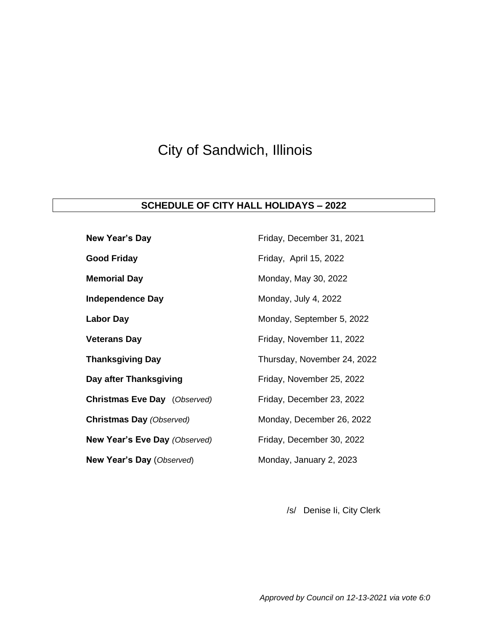## City of Sandwich, Illinois

## **SCHEDULE OF CITY HALL HOLIDAYS – 2022**

| <b>New Year's Day</b>               | Friday, December 31, 2021   |
|-------------------------------------|-----------------------------|
| <b>Good Friday</b>                  | Friday, April 15, 2022      |
| <b>Memorial Day</b>                 | Monday, May 30, 2022        |
| <b>Independence Day</b>             | Monday, July 4, 2022        |
| <b>Labor Day</b>                    | Monday, September 5, 2022   |
| <b>Veterans Day</b>                 | Friday, November 11, 2022   |
| <b>Thanksgiving Day</b>             | Thursday, November 24, 2022 |
| Day after Thanksgiving              | Friday, November 25, 2022   |
| <b>Christmas Eve Day</b> (Observed) | Friday, December 23, 2022   |
| <b>Christmas Day (Observed)</b>     | Monday, December 26, 2022   |
| New Year's Eve Day (Observed)       | Friday, December 30, 2022   |
| New Year's Day (Observed)           | Monday, January 2, 2023     |

/s/ Denise Ii, City Clerk

*Approved by Council on 12-13-2021 via vote 6:0*